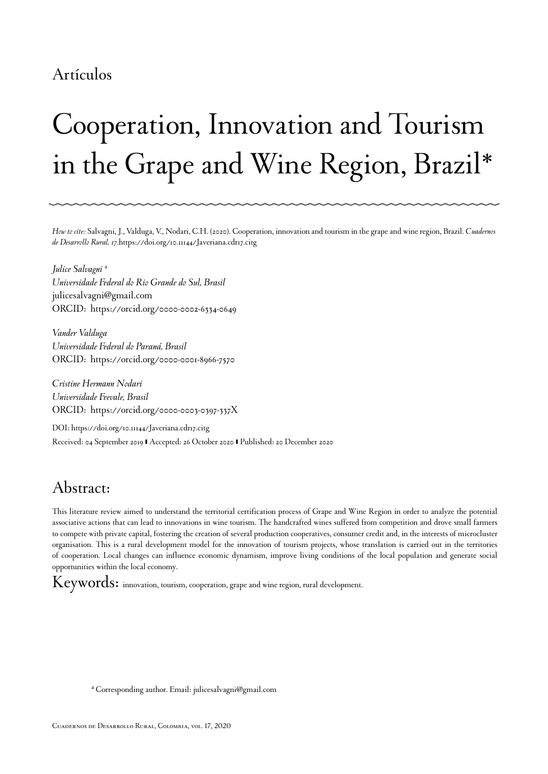### Artículos

# Cooperation, Innovation and Tourism in the Grape and Wine Region, Brazil[\\*](#page-14-0)

*How to cite:* Salvagni, J., Valduga, V., Nodari, C.H. (2020). Cooperation, innovation and tourism in the grape and wine region, Brazil. *Cuadernos de Desarrollo Rural, 17*[.https://doi.org/10.11144/Javeriana.cdr17.citg](https://doi.org/10.11144/Javeriana.cdr17.citg)

*Julice Salvagni* [a](#page-0-0) *Universidade Federal do Rio Grande do Sul, Brasil* julicesalvagni@gmail.com ORCID: [https://orcid.org/0000-0002-6334-0649](http://orcid.org/https://orcid.org/0000-0002-6334-0649)

*Vander Valduga Universidade Federal do Paraná, Brasil* ORCID: [https://orcid.org/0000-0001-8966-7570](http://orcid.org/https://orcid.org/0000-0001-8966-7570)

*Cristine Hermann Nodari Universidade Feevale, Brasil* ORCID: [https://orcid.org/0000-0003-0397-337X](http://orcid.org/https://orcid.org/0000-0003-0397-337X)

DOI: [https://doi.org/10.11144/Javeriana.cdr17.citg](https://doi.org/https://doi.org/10.11144/Javeriana.cdr17.citg) Received: 04 September 2019 | Accepted: 26 October 2020 | Published: 20 December 2020

### Abstract:

This literature review aimed to understand the territorial certification process of Grape and Wine Region in order to analyze the potential associative actions that can lead to innovations in wine tourism. The handcrafted wines suffered from competition and drove small farmers to compete with private capital, fostering the creation of several production cooperatives, consumer credit and, in the interests of microcluster organisation. This is a rural development model for the innovation of tourism projects, whose translation is carried out in the territories of cooperation. Local changes can influence economic dynamism, improve living conditions of the local population and generate social opportunities within the local economy.

Keywords: innovation, tourism, cooperation, grape and wine region, rural development.

<span id="page-0-0"></span>a Corresponding author. Email: julicesalvagni@gmail.com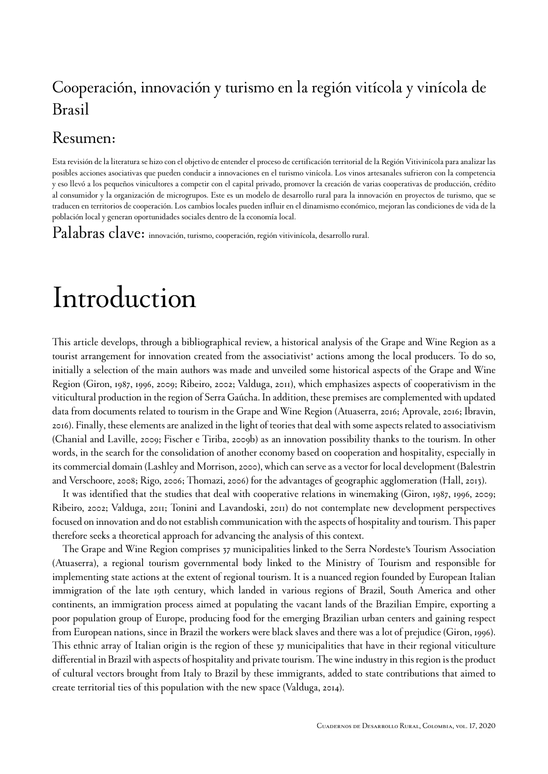### Cooperación, innovación y turismo en la región vitícola y vinícola de Brasil

#### Resumen:

Esta revisión de la literatura se hizo con el objetivo de entender el proceso de certificación territorial de la Región Vitivinícola para analizar las posibles acciones asociativas que pueden conducir a innovaciones en el turismo vinícola. Los vinos artesanales sufrieron con la competencia y eso llevó a los pequeños vinicultores a competir con el capital privado, promover la creación de varias cooperativas de producción, crédito al consumidor y la organización de microgrupos. Este es un modelo de desarrollo rural para la innovación en proyectos de turismo, que se traducen en territorios de cooperación. Los cambios locales pueden influir en el dinamismo económico, mejoran las condiciones de vida de la población local y generan oportunidades sociales dentro de la economía local.

 $\text {Palabras } \text {clave: }$  innovación, turismo, cooperación, región vitivinícola, desarrollo rural.

### Introduction

This article develops, through a bibliographical review, a historical analysis of the Grape and Wine Region as a tourist arrangement for innovation created from the associativist' actions among the local producers. To do so, initially a selection of the main authors was made and unveiled some historical aspects of the Grape and Wine Region ([Giron, 1987,](#page-11-0) [1996,](#page-11-1) [2009;](#page-11-2) [Ribeiro, 2002;](#page-13-0) [Valduga, 2011](#page-13-1)), which emphasizes aspects of cooperativism in the viticultural production in the region of Serra Gaúcha. In addition, these premises are complemented with updated data from documents related to tourism in the Grape and Wine Region ([Atuaserra, 2016](#page-10-0); [Aprovale, 2016](#page-10-1); [Ibravin,](#page-12-0) [2016](#page-12-0)). Finally, these elements are analized in the light of teories that deal with some aspects related to associativism ([Chanial and Laville, 2009](#page-11-3); [Fischer e Tiriba, 2009b](#page-11-4)) as an innovation possibility thanks to the tourism. In other words, in the search for the consolidation of another economy based on cooperation and hospitality, especially in its commercial domain [\(Lashley and Morrison, 2000\)](#page-12-1), which can serve as a vector for local development ([Balestrin](#page-10-2) [and Verschoore, 2008;](#page-10-2) [Rigo, 2006;](#page-13-2) [Thomazi, 2006\)](#page-13-3) for the advantages of geographic agglomeration ([Hall, 2013](#page-11-5)).

It was identified that the studies that deal with cooperative relations in winemaking ([Giron, 1987](#page-11-0), [1996](#page-11-1), [2009;](#page-11-2) [Ribeiro, 2002;](#page-13-0) [Valduga, 2011;](#page-13-1) [Tonini and Lavandoski, 2011\)](#page-13-4) do not contemplate new development perspectives focused on innovation and do not establish communication with the aspects of hospitality and tourism. This paper therefore seeks a theoretical approach for advancing the analysis of this context.

The Grape and Wine Region comprises 37 municipalities linked to the Serra Nordeste's Tourism Association (Atuaserra), a regional tourism governmental body linked to the Ministry of Tourism and responsible for implementing state actions at the extent of regional tourism. It is a nuanced region founded by European Italian immigration of the late 19th century, which landed in various regions of Brazil, South America and other continents, an immigration process aimed at populating the vacant lands of the Brazilian Empire, exporting a poor population group of Europe, producing food for the emerging Brazilian urban centers and gaining respect from European nations, since in Brazil the workers were black slaves and there was a lot of prejudice ([Giron, 1996\)](#page-11-1). This ethnic array of Italian origin is the region of these 37 municipalities that have in their regional viticulture differential in Brazil with aspects of hospitality and private tourism. The wine industry in this region is the product of cultural vectors brought from Italy to Brazil by these immigrants, added to state contributions that aimed to create territorial ties of this population with the new space ([Valduga, 2014\)](#page-14-1).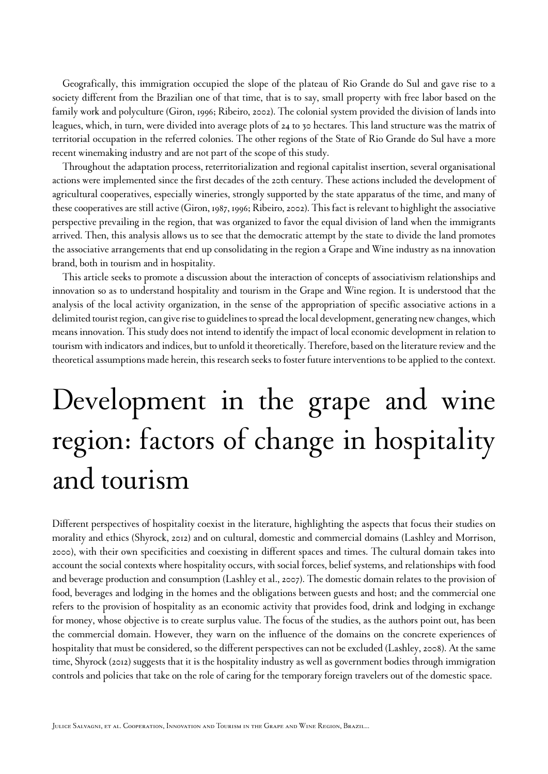Geografically, this immigration occupied the slope of the plateau of Rio Grande do Sul and gave rise to a society different from the Brazilian one of that time, that is to say, small property with free labor based on the family work and polyculture ([Giron, 1996;](#page-11-1) [Ribeiro, 2002\)](#page-13-0). The colonial system provided the division of lands into leagues, which, in turn, were divided into average plots of 24 to 30 hectares. This land structure was the matrix of territorial occupation in the referred colonies. The other regions of the State of Rio Grande do Sul have a more recent winemaking industry and are not part of the scope of this study.

Throughout the adaptation process, reterritorialization and regional capitalist insertion, several organisational actions were implemented since the first decades of the 20th century. These actions included the development of agricultural cooperatives, especially wineries, strongly supported by the state apparatus of the time, and many of these cooperatives are still active ([Giron, 1987](#page-11-0), [1996](#page-11-1); [Ribeiro, 2002\)](#page-13-0). This fact is relevant to highlight the associative perspective prevailing in the region, that was organized to favor the equal division of land when the immigrants arrived. Then, this analysis allows us to see that the democratic attempt by the state to divide the land promotes the associative arrangements that end up consolidating in the region a Grape and Wine industry as na innovation brand, both in tourism and in hospitality.

This article seeks to promote a discussion about the interaction of concepts of associativism relationships and innovation so as to understand hospitality and tourism in the Grape and Wine region. It is understood that the analysis of the local activity organization, in the sense of the appropriation of specific associative actions in a delimited tourist region, can give rise to guidelines to spread the local development, generating new changes, which means innovation. This study does not intend to identify the impact of local economic development in relation to tourism with indicators and indices, but to unfold it theoretically. Therefore, based on the literature review and the theoretical assumptions made herein, this research seeks to foster future interventions to be applied to the context.

# Development in the grape and wine region: factors of change in hospitality and tourism

Different perspectives of hospitality coexist in the literature, highlighting the aspects that focus their studies on morality and ethics [\(Shyrock, 2012\)](#page-13-5) and on cultural, domestic and commercial domains [\(Lashley and Morrison,](#page-12-1) [2000\)](#page-12-1), with their own specificities and coexisting in different spaces and times. The cultural domain takes into account the social contexts where hospitality occurs, with social forces, belief systems, and relationships with food and beverage production and consumption [\(Lashley et al., 2007\)](#page-12-2). The domestic domain relates to the provision of food, beverages and lodging in the homes and the obligations between guests and host; and the commercial one refers to the provision of hospitality as an economic activity that provides food, drink and lodging in exchange for money, whose objective is to create surplus value. The focus of the studies, as the authors point out, has been the commercial domain. However, they warn on the influence of the domains on the concrete experiences of hospitality that must be considered, so the different perspectives can not be excluded ([Lashley, 2008\)](#page-12-3). At the same time, [Shyrock \(2012\)](#page-13-5) suggests that it is the hospitality industry as well as government bodies through immigration controls and policies that take on the role of caring for the temporary foreign travelers out of the domestic space.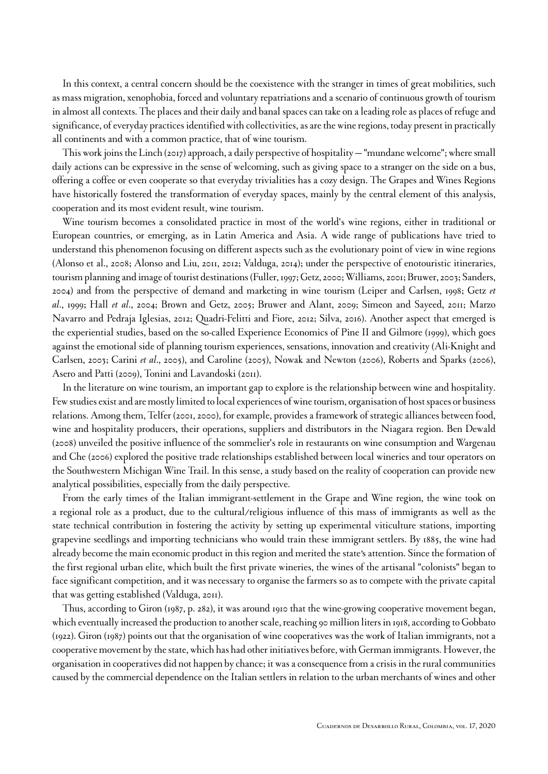In this context, a central concern should be the coexistence with the stranger in times of great mobilities, such as mass migration, xenophobia, forced and voluntary repatriations and a scenario of continuous growth of tourism in almost all contexts. The places and their daily and banal spaces can take on a leading role as places of refuge and significance, of everyday practices identified with collectivities, as are the wine regions, today present in practically all continents and with a common practice, that of wine tourism.

This work joins the Linch (2017) approach, a daily perspective of hospitality — "mundane welcome"; where small daily actions can be expressive in the sense of welcoming, such as giving space to a stranger on the side on a bus, offering a coffee or even cooperate so that everyday trivialities has a cozy design. The Grapes and Wines Regions have historically fostered the transformation of everyday spaces, mainly by the central element of this analysis, cooperation and its most evident result, wine tourism.

Wine tourism becomes a consolidated practice in most of the world's wine regions, either in traditional or European countries, or emerging, as in Latin America and Asia. A wide range of publications have tried to understand this phenomenon focusing on different aspects such as the evolutionary point of view in wine regions ([Alonso et al., 2008](#page-10-3); [Alonso and Liu, 2011](#page-10-4), [2012](#page-10-5); [Valduga, 2014](#page-14-1)); under the perspective of enotouristic itineraries, tourism planning and image of tourist destinations ([Fuller, 1997;](#page-11-6) [Getz, 2000](#page-11-7); [Williams, 2001](#page-14-2); [Bruwer, 2003;](#page-10-6) [Sanders,](#page-13-6) [2004](#page-13-6)) and from the perspective of demand and marketing in wine tourism ([Leiper and Carlsen, 1998](#page-12-4); [Getz](#page-11-8) *et al*[., 1999;](#page-11-8) Hall *et al*[., 2004](#page-11-9); [Brown and Getz, 2005](#page-10-7); [Bruwer and Alant, 2009;](#page-10-8) [Simeon and Sayeed, 2011](#page-13-7); [Marzo](#page-12-5) [Navarro and Pedraja Iglesias, 2012;](#page-12-5) [Quadri-Felitti and Fiore, 2012;](#page-13-8) [Silva, 2016\)](#page-13-9). Another aspect that emerged is the experiential studies, based on the so-called Experience Economics of [Pine II and Gilmore \(1999\),](#page-12-6) which goes against the emotional side of planning tourism experiences, sensations, innovation and creativity [\(Ali-Knight and](#page-10-9) [Carlsen, 2003](#page-10-9); Carini *et al*., 2005), and Caroline (2005), [Nowak and Newton \(2006\)](#page-12-7), [Roberts and Sparks \(2006\)](#page-13-10), [Asero and Patti \(2009\),](#page-10-10) [Tonini and Lavandoski \(2011\).](#page-13-4)

In the literature on wine tourism, an important gap to explore is the relationship between wine and hospitality. Few studies exist and are mostly limited to local experiences of wine tourism, organisation of host spaces or business relations. Among them, [Telfer \(2001,](#page-13-11) [2000\)](#page-13-12), for example, provides a framework of strategic alliances between food, wine and hospitality producers, their operations, suppliers and distributors in the Niagara region. [Ben Dewald](#page-11-10) [\(2008\)](#page-11-10) unveiled the positive influence of the sommelier's role in restaurants on wine consumption and [Wargenau](#page-14-3) [and Che \(2006\)](#page-14-3) explored the positive trade relationships established between local wineries and tour operators on the Southwestern Michigan Wine Trail. In this sense, a study based on the reality of cooperation can provide new analytical possibilities, especially from the daily perspective.

From the early times of the Italian immigrant-settlement in the Grape and Wine region, the wine took on a regional role as a product, due to the cultural/religious influence of this mass of immigrants as well as the state technical contribution in fostering the activity by setting up experimental viticulture stations, importing grapevine seedlings and importing technicians who would train these immigrant settlers. By 1885, the wine had already become the main economic product in this region and merited the state's attention. Since the formation of the first regional urban elite, which built the first private wineries, the wines of the artisanal "colonists" began to face significant competition, and it was necessary to organise the farmers so as to compete with the private capital that was getting established [\(Valduga, 2011\)](#page-13-1).

Thus, according to [Giron \(1987, p. 282\)](#page-11-0), it was around 1910 that the wine-growing cooperative movement began, which eventually increased the production to another scale, reaching 90 million liters in 1918, according to [Gobbato](#page-11-11) [\(1922\)](#page-11-11). [Giron \(1987\)](#page-11-0) points out that the organisation of wine cooperatives was the work of Italian immigrants, not a cooperative movement by the state, which has had other initiatives before, with German immigrants. However, the organisation in cooperatives did not happen by chance; it was a consequence from a crisis in the rural communities caused by the commercial dependence on the Italian settlers in relation to the urban merchants of wines and other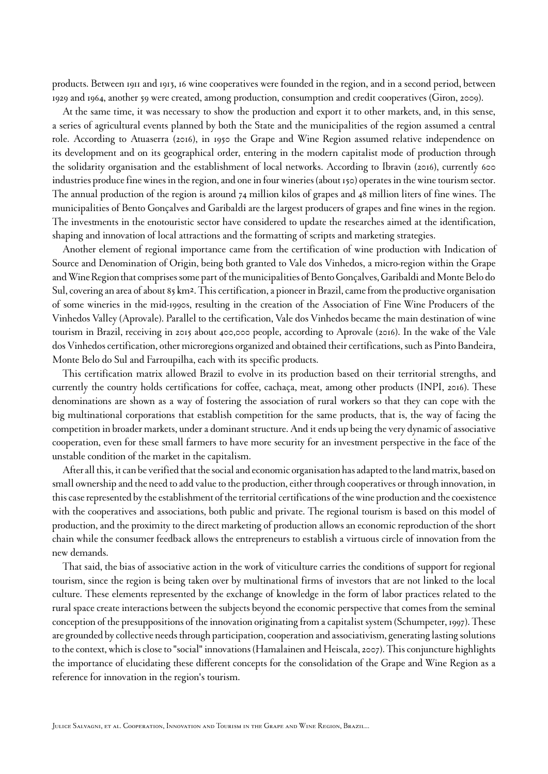products. Between 1911 and 1913, 16 wine cooperatives were founded in the region, and in a second period, between 1929 and 1964, another 59 were created, among production, consumption and credit cooperatives [\(Giron, 2009\)](#page-11-2).

At the same time, it was necessary to show the production and export it to other markets, and, in this sense, a series of agricultural events planned by both the State and the municipalities of the region assumed a central role. According to [Atuaserra](#page-10-0) (2016), in 1950 the Grape and Wine Region assumed relative independence on its development and on its geographical order, entering in the modern capitalist mode of production through the solidarity organisation and the establishment of local networks. According to [Ibravin \(2016\),](#page-12-0) currently 600 industries produce fine wines in the region, and one in four wineries (about 150) operates in the wine tourism sector. The annual production of the region is around 74 million kilos of grapes and 48 million liters of fine wines. The municipalities of Bento Gonçalves and Garibaldi are the largest producers of grapes and fine wines in the region. The investments in the enotouristic sector have considered to update the researches aimed at the identification, shaping and innovation of local attractions and the formatting of scripts and marketing strategies.

Another element of regional importance came from the certification of wine production with Indication of Source and Denomination of Origin, being both granted to Vale dos Vinhedos, a micro-region within the Grape and WineRegionthat comprises some part of the municipalities of Bento Gonçalves, Garibaldi and Monte Belo do Sul, covering an area of about 85 km². This certification, a pioneer in Brazil, came from the productive organisation of some wineries in the mid-1990s, resulting in the creation of the Association of Fine Wine Producers of the Vinhedos Valley (Aprovale). Parallel to the certification, Vale dos Vinhedos became the main destination of wine tourism in Brazil, receiving in 2015 about 400,000 people, according to [Aprovale \(2016\)](#page-10-1). In the wake of the Vale dos Vinhedos certification, other microregions organized and obtained their certifications, such as Pinto Bandeira, Monte Belo do Sul and Farroupilha, each with its specific products.

This certification matrix allowed Brazil to evolve in its production based on their territorial strengths, and currently the country holds certifications for coffee, cachaça, meat, among other products [\(INPI,](#page-12-8) 2016). These denominations are shown as a way of fostering the association of rural workers so that they can cope with the big multinational corporations that establish competition for the same products, that is, the way of facing the competition in broader markets, under a dominant structure. And it ends up being the very dynamic of associative cooperation, even for these small farmers to have more security for an investment perspective in the face of the unstable condition of the market in the capitalism.

Afterall this, it can be verified that the social and economic organisation has adapted to the land matrix, based on small ownership and the need to add value to the production, either through cooperatives or through innovation, in this case represented by the establishment of the territorial certifications of the wine production and the coexistence with the cooperatives and associations, both public and private. The regional tourism is based on this model of production, and the proximity to the direct marketing of production allows an economic reproduction of the short chain while the consumer feedback allows the entrepreneurs to establish a virtuous circle of innovation from the new demands.

That said, the bias of associative action in the work of viticulture carries the conditions of support for regional tourism, since the region is being taken over by multinational firms of investors that are not linked to the local culture. These elements represented by the exchange of knowledge in the form of labor practices related to the rural space create interactions between the subjects beyond the economic perspective that comes from the seminal conception of the presuppositions of the innovation originating from a capitalist system [\(Schumpeter, 1997\)](#page-13-13). These are grounded by collective needs through participation, cooperation and associativism, generating lasting solutions to the context, which is close to "social" innovations ([Hamalainen and Heiscala, 2007](#page-11-12)). This conjuncture highlights the importance of elucidating these different concepts for the consolidation of the Grape and Wine Region as a reference for innovation in the region's tourism.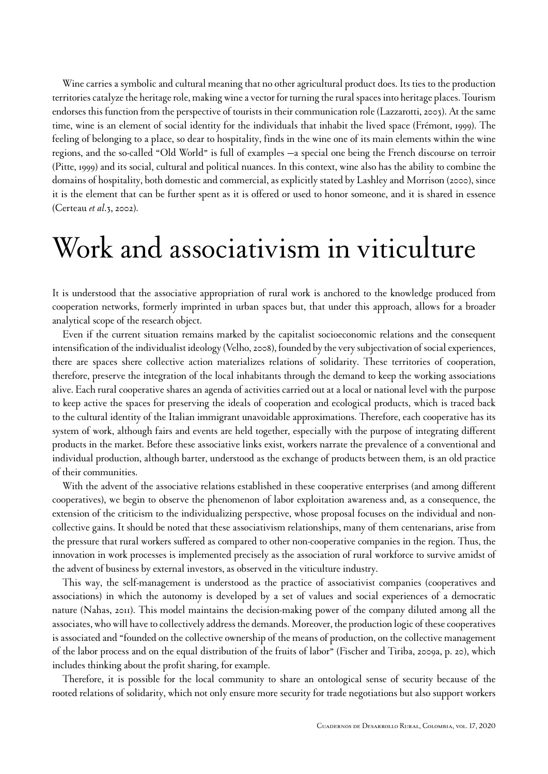Wine carries a symbolic and cultural meaning that no other agricultural product does. Its ties to the production territories catalyze the heritage role, making wine a vector for turning the rural spaces into heritage places. Tourism endorses this function from the perspective of tourists in their communication role ([Lazzarotti, 2003\)](#page-12-9). At the same time, wine is an element of social identity for the individuals that inhabit the lived space ([Frémont, 1999](#page-11-13)). The feeling of belonging to a place, so dear to hospitality, finds in the wine one of its main elements within the wine regions, and the so-called "Old World" is full of examples —a special one being the French discourse on terroir ([Pitte, 1999](#page-12-10)) and its social, cultural and political nuances. In this context, wine also has the ability to combine the domains of hospitality, both domestic and commercial, as explicitly stated by [Lashley and Morrison \(2000\)](#page-12-1), since it is the element that can be further spent as it is offered or used to honor someone, and it is shared in essence ([Certeau](#page-11-14) *et al*.3, 2002).

### Work and associativism in viticulture

It is understood that the associative appropriation of rural work is anchored to the knowledge produced from cooperation networks, formerly imprinted in urban spaces but, that under this approach, allows for a broader analytical scope of the research object.

Even if the current situation remains marked by the capitalist socioeconomic relations and the consequent intensification of the individualist ideology ([Velho, 2008\)](#page-14-4), founded by the very subjectivation of social experiences, there are spaces shere collective action materializes relations of solidarity. These territories of cooperation, therefore, preserve the integration of the local inhabitants through the demand to keep the working associations alive. Each rural cooperative shares an agenda of activities carried out at a local or national level with the purpose to keep active the spaces for preserving the ideals of cooperation and ecological products, which is traced back to the cultural identity of the Italian immigrant unavoidable approximations. Therefore, each cooperative has its system of work, although fairs and events are held together, especially with the purpose of integrating different products in the market. Before these associative links exist, workers narrate the prevalence of a conventional and individual production, although barter, understood as the exchange of products between them, is an old practice of their communities.

With the advent of the associative relations established in these cooperative enterprises (and among different cooperatives), we begin to observe the phenomenon of labor exploitation awareness and, as a consequence, the extension of the criticism to the individualizing perspective, whose proposal focuses on the individual and noncollective gains. It should be noted that these associativism relationships, many of them centenarians, arise from the pressure that rural workers suffered as compared to other non-cooperative companies in the region. Thus, the innovation in work processes is implemented precisely as the association of rural workforce to survive amidst of the advent of business by external investors, as observed in the viticulture industry.

This way, the self-management is understood as the practice of associativist companies (cooperatives and associations) in which the autonomy is developed by a set of values and social experiences of a democratic nature ([Nahas, 2011](#page-12-11)). This model maintains the decision-making power of the company diluted among all the associates, who will have to collectively address the demands. Moreover, the production logic of these cooperatives is associated and "founded on the collective ownership of the means of production, on the collective management of the labor process and on the equal distribution of the fruits of labor" ([Fischer and Tiriba, 2009a, p. 20\)](#page-11-15), which includes thinking about the profit sharing, for example.

Therefore, it is possible for the local community to share an ontological sense of security because of the rooted relations of solidarity, which not only ensure more security for trade negotiations but also support workers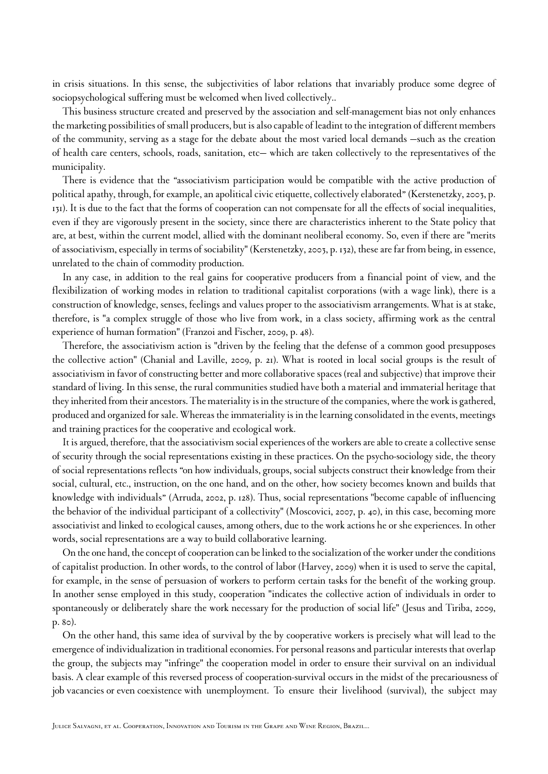in crisis situations. In this sense, the subjectivities of labor relations that invariably produce some degree of sociopsychological suffering must be welcomed when lived collectively..

This business structure created and preserved by the association and self-management bias not only enhances the marketing possibilities of small producers, but is also capable of leadint to the integration of different members of the community, serving as a stage for the debate about the most varied local demands —such as the creation of health care centers, schools, roads, sanitation, etc— which are taken collectively to the representatives of the municipality.

There is evidence that the "associativism participation would be compatible with the active production of political apathy, through, for example, an apolitical civic etiquette, collectively elaborated" ([Kerstenetzky, 2003, p.](#page-12-12) [131\)](#page-12-12). It is due to the fact that the forms of cooperation can not compensate for all the effects of social inequalities, even if they are vigorously present in the society, since there are characteristics inherent to the State policy that are, at best, within the current model, allied with the dominant neoliberal economy. So, even if there are "merits of associativism, especially in terms of sociability" ([Kerstenetzky, 2003, p. 132](#page-12-12)), these are far from being, in essence, unrelated to the chain of commodity production.

In any case, in addition to the real gains for cooperative producers from a financial point of view, and the flexibilization of working modes in relation to traditional capitalist corporations (with a wage link), there is a construction of knowledge, senses, feelings and values proper to the associativism arrangements. What is at stake, therefore, is "a complex struggle of those who live from work, in a class society, affirming work as the central experience of human formation" [\(Franzoi and Fischer, 2009, p. 48\)](#page-11-16).

Therefore, the associativism action is "driven by the feeling that the defense of a common good presupposes the collective action" ([Chanial and Laville, 2009, p. 21\)](#page-11-3). What is rooted in local social groups is the result of associativism in favor of constructing better and more collaborative spaces (real and subjective) that improve their standard of living. In this sense, the rural communities studied have both a material and immaterial heritage that they inherited from their ancestors. The materiality is in the structure of the companies, where the work is gathered, produced and organized for sale. Whereas the immateriality is in the learning consolidated in the events, meetings and training practices for the cooperative and ecological work.

It is argued, therefore, that the associativism social experiences of the workers are able to create a collective sense of security through the social representations existing in these practices. On the psycho-sociology side, the theory of social representations reflects "on how individuals, groups, social subjects construct their knowledge from their social, cultural, etc., instruction, on the one hand, and on the other, how society becomes known and builds that knowledge with individuals" ([Arruda, 2002, p. 128\)](#page-10-11). Thus, social representations "become capable of influencing the behavior of the individual participant of a collectivity" [\(Moscovici, 2007, p. 40\)](#page-12-13), in this case, becoming more associativist and linked to ecological causes, among others, due to the work actions he or she experiences. In other words, social representations are a way to build collaborative learning.

On the one hand, the concept of cooperation can be linked to the socialization of the worker under the conditions of capitalist production. In other words, to the control of labor [\(Harvey, 2009](#page-12-14)) when it is used to serve the capital, for example, in the sense of persuasion of workers to perform certain tasks for the benefit of the working group. In another sense employed in this study, cooperation "indicates the collective action of individuals in order to spontaneously or deliberately share the work necessary for the production of social life" [\(Jesus and Tiriba, 2009,](#page-12-15) [p. 80](#page-12-15)).

On the other hand, this same idea of survival by the by cooperative workers is precisely what will lead to the emergence of individualization in traditional economies. For personal reasons and particular interests that overlap the group, the subjects may "infringe" the cooperation model in order to ensure their survival on an individual basis. A clear example of this reversed process of cooperation-survival occurs in the midst of the precariousness of job vacancies or even coexistence with unemployment. To ensure their livelihood (survival), the subject may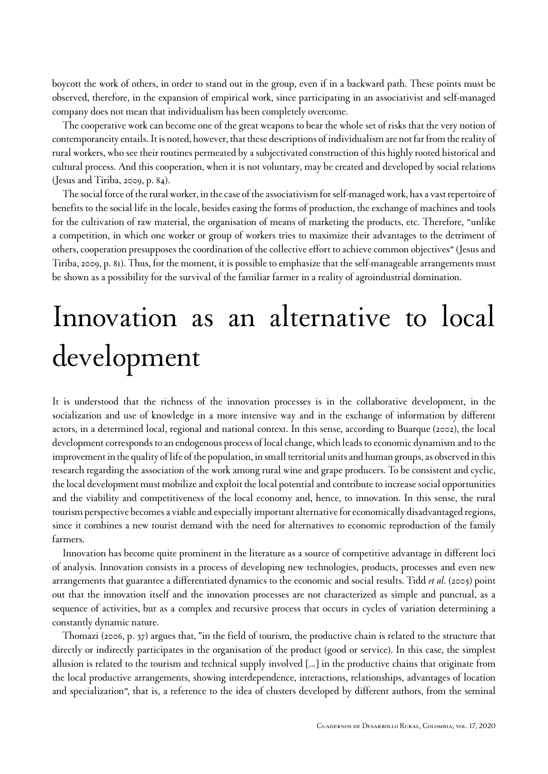boycott the work of others, in order to stand out in the group, even if in a backward path. These points must be observed, therefore, in the expansion of empirical work, since participating in an associativist and self-managed company does not mean that individualism has been completely overcome.

The cooperative work can become one of the great weapons to bear the whole set of risks that the very notion of contemporaneity entails. It is noted, however, that these descriptions of individualism are not far from the reality of rural workers, who see their routines permeated by a subjectivated construction of this highly rooted historical and cultural process. And this cooperation, when it is not voluntary, may be created and developed by social relations ([Jesus and Tiriba, 2009, p. 84](#page-12-15)).

The social force of the rural worker, in the case of the associativism for self-managed work, has a vast repertoire of benefits to the social life in the locale, besides easing the forms of production, the exchange of machines and tools for the cultivation of raw material, the organisation of means of marketing the products, etc. Therefore, "unlike a competition, in which one worker or group of workers tries to maximize their advantages to the detriment of others, cooperation presupposes the coordination of the collective effort to achieve common objectives" ([Jesus and](#page-12-15) [Tiriba, 2009, p. 81](#page-12-15)). Thus, for the moment, it is possible to emphasize that the self-manageable arrangements must be shown as a possibility for the survival of the familiar farmer in a reality of agroindustrial domination.

## Innovation as an alternative to local development

It is understood that the richness of the innovation processes is in the collaborative development, in the socialization and use of knowledge in a more intensive way and in the exchange of information by different actors, in a determined local, regional and national context. In this sense, according to [Buarque \(2002\)](#page-11-17), the local development corresponds to an endogenous process of local change, which leads to economic dynamism and to the improvement in the quality of life of the population, in small territorial units and human groups, as observed in this research regarding the association of the work among rural wine and grape producers. To be consistent and cyclic, the local development must mobilize and exploit the local potential and contribute to increase social opportunities and the viability and competitiveness of the local economy and, hence, to innovation. In this sense, the rural tourism perspective becomes a viable and especially important alternative for economically disadvantaged regions, since it combines a new tourist demand with the need for alternatives to economic reproduction of the family farmers.

Innovation has become quite prominent in the literature as a source of competitive advantage in different loci of analysis. Innovation consists in a process of developing new technologies, products, processes and even new arrangements that guarantee a differentiated dynamics to the economic and social results. Tidd *et al*[. \(2005\)](#page-13-14) point out that the innovation itself and the innovation processes are not characterized as simple and punctual, as a sequence of activities, but as a complex and recursive process that occurs in cycles of variation determining a constantly dynamic nature.

[Thomazi \(2006, p. 37\)](#page-13-3) argues that, "in the field of tourism, the productive chain is related to the structure that directly or indirectly participates in the organisation of the product (good or service). In this case, the simplest allusion is related to the tourism and technical supply involved [...] in the productive chains that originate from the local productive arrangements, showing interdependence, interactions, relationships, advantages of location and specialization", that is, a reference to the idea of clusters developed by different authors, from the seminal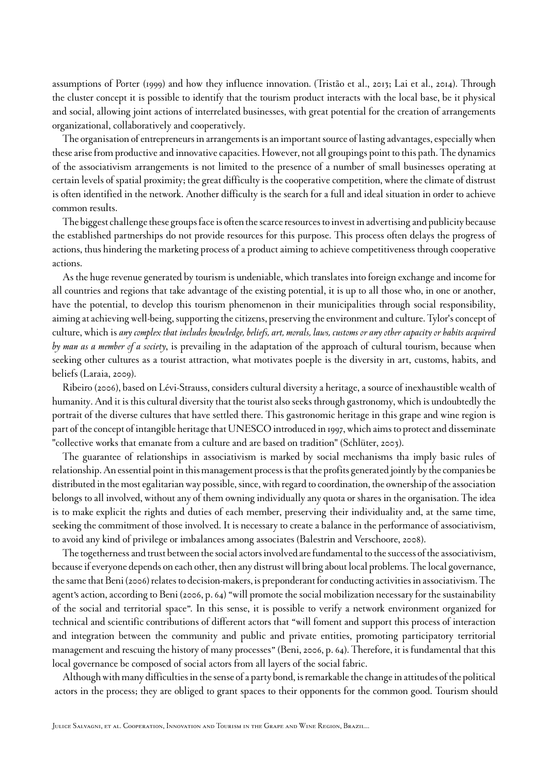assumptions of [Porter](#page-12-16) (1999) and how they influence innovation. [\(Tristão et al., 2013](#page-13-15); [Lai et al., 2014](#page-12-17)). Through the cluster concept it is possible to identify that the tourism product interacts with the local base, be it physical and social, allowing joint actions of interrelated businesses, with great potential for the creation of arrangements organizational, collaboratively and cooperatively.

The organisation of entrepreneurs in arrangements is an important source of lasting advantages, especially when these arise from productive and innovative capacities. However, not all groupings point to this path. The dynamics of the associativism arrangements is not limited to the presence of a number of small businesses operating at certain levels of spatial proximity; the great difficulty is the cooperative competition, where the climate of distrust is often identified in the network. Another difficulty is the search for a full and ideal situation in order to achieve common results.

The biggest challenge these groups face is often the scarce resources to invest in advertising and publicity because the established partnerships do not provide resources for this purpose. This process often delays the progress of actions, thus hindering the marketing process of a product aiming to achieve competitiveness through cooperative actions.

As the huge revenue generated by tourism is undeniable, which translates into foreign exchange and income for all countries and regions that take advantage of the existing potential, it is up to all those who, in one or another, have the potential, to develop this tourism phenomenon in their municipalities through social responsibility, aiming at achieving well-being, supporting the citizens, preserving the environment and culture. Tylor's concept of culture, which is *any complex that includes knowledge, beliefs, art, morals, laws, customs or any other capacity or habits acquired by man as a member of a society*, is prevailing in the adaptation of the approach of cultural tourism, because when seeking other cultures as a tourist attraction, what motivates poeple is the diversity in art, customs, habits, and beliefs [\(Laraia, 2009](#page-12-18)).

[Ribeiro \(2006\),](#page-13-16) based on Lévi-Strauss, considers cultural diversity a heritage, a source of inexhaustible wealth of humanity. And it is this cultural diversity that the tourist also seeks through gastronomy, which is undoubtedly the portrait of the diverse cultures that have settled there. This gastronomic heritage in this grape and wine region is part of the concept of intangible heritage that UNESCO introduced in 1997, which aims to protect and disseminate "collective works that emanate from a culture and are based on tradition" ([Schlüter, 2003](#page-13-17)).

The guarantee of relationships in associativism is marked by social mechanisms tha imply basic rules of relationship. An essential point in this management process is that the profits generated jointly by the companies be distributed in the most egalitarian way possible, since, with regard to coordination, the ownership of the association belongs to all involved, without any of them owning individually any quota or shares in the organisation. The idea is to make explicit the rights and duties of each member, preserving their individuality and, at the same time, seeking the commitment of those involved. It is necessary to create a balance in the performance of associativism, to avoid any kind of privilege or imbalances among associates ([Balestrin and Verschoore, 2008](#page-10-2)).

The togethernessand trust between the social actors involved are fundamental to the success of the associativism, because if everyone depends on each other, then any distrust will bring about local problems. The local governance, the same that [Beni \(2006\)](#page-10-12) relates to decision-makers,is preponderant for conducting activities in associativism. The agent's action, according to [Beni \(2006, p. 64\)](#page-10-12) "will promote the social mobilization necessary for the sustainability of the social and territorial space". In this sense, it is possible to verify a network environment organized for technical and scientific contributions of different actors that "will foment and support this process of interaction and integration between the community and public and private entities, promoting participatory territorial management and rescuing the history of many processes" ([Beni, 2006, p. 64\)](#page-10-12). Therefore, it is fundamental that this local governance be composed of social actors from all layers of the social fabric.

Although with many difficulties in the sense of a party bond, is remarkable the change in attitudes of the political actors in the process; they are obliged to grant spaces to their opponents for the common good. Tourism should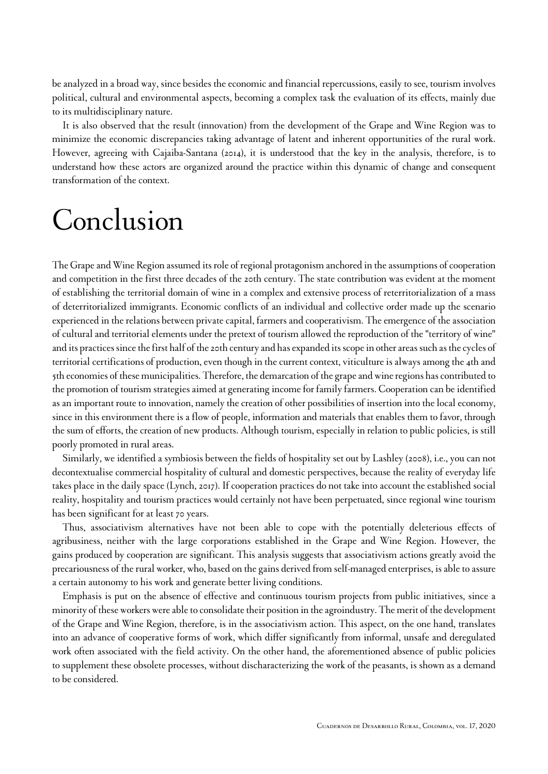be analyzed in a broad way, since besides the economic and financial repercussions, easily to see, tourism involves political, cultural and environmental aspects, becoming a complex task the evaluation of its effects, mainly due to its multidisciplinary nature.

It is also observed that the result (innovation) from the development of the Grape and Wine Region was to minimize the economic discrepancies taking advantage of latent and inherent opportunities of the rural work. However, agreeing with [Cajaiba-Santana \(2014\),](#page-11-18) it is understood that the key in the analysis, therefore, is to understand how these actors are organized around the practice within this dynamic of change and consequent transformation of the context.

### Conclusion

The Grape and Wine Region assumed its role of regional protagonism anchored in the assumptions of cooperation and competition in the first three decades of the 20th century. The state contribution was evident at the moment of establishing the territorial domain of wine in a complex and extensive process of reterritorialization of a mass of deterritorialized immigrants. Economic conflicts of an individual and collective order made up the scenario experienced in the relations between private capital, farmers and cooperativism. The emergence of the association of cultural and territorial elements under the pretext of tourism allowed the reproduction of the "territory of wine" and its practices since the first half of the 20th century and has expanded its scope in other areas such as the cycles of territorial certifications of production, even though in the current context, viticulture is always among the 4th and 5th economies of these municipalities. Therefore, the demarcation of the grape and wine regions has contributed to the promotion of tourism strategies aimed at generating income for family farmers. Cooperation can be identified as an important route to innovation, namely the creation of other possibilities of insertion into the local economy, since in this environment there is a flow of people, information and materials that enables them to favor, through the sum of efforts, the creation of new products. Although tourism, especially in relation to public policies, is still poorly promoted in rural areas.

Similarly, we identified a symbiosis between the fields of hospitality set out by [Lashley \(2008\),](#page-12-3) i.e., you can not decontextualise commercial hospitality of cultural and domestic perspectives, because the reality of everyday life takes place in the daily space [\(Lynch, 2017](#page-12-19)). If cooperation practices do not take into account the established social reality, hospitality and tourism practices would certainly not have been perpetuated, since regional wine tourism has been significant for at least 70 years.

Thus, associativism alternatives have not been able to cope with the potentially deleterious effects of agribusiness, neither with the large corporations established in the Grape and Wine Region. However, the gains produced by cooperation are significant. This analysis suggests that associativism actions greatly avoid the precariousness of the rural worker, who, based on the gains derived from self-managed enterprises, is able to assure a certain autonomy to his work and generate better living conditions.

Emphasis is put on the absence of effective and continuous tourism projects from public initiatives, since a minority of these workers were able to consolidate their position in the agroindustry. The merit of the development of the Grape and Wine Region, therefore, is in the associativism action. This aspect, on the one hand, translates into an advance of cooperative forms of work, which differ significantly from informal, unsafe and deregulated work often associated with the field activity. On the other hand, the aforementioned absence of public policies to supplement these obsolete processes, without discharacterizing the work of the peasants, is shown as a demand to be considered.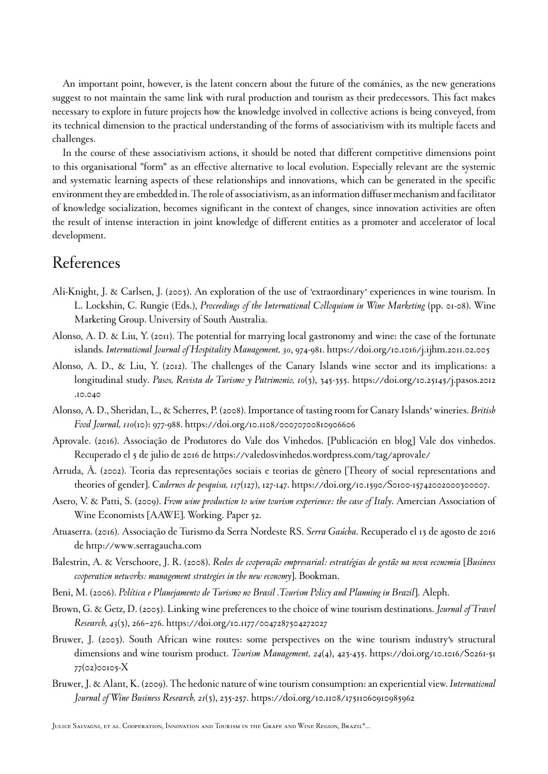An important point, however, is the latent concern about the future of the cománies, as the new generations suggest to not maintain the same link with rural production and tourism as their predecessors. This fact makes necessary to explore in future projects how the knowledge involved in collective actions is being conveyed, from its technical dimension to the practical understanding of the forms of associativism with its multiple facets and challenges.

In the course of these associativism actions, it should be noted that different competitive dimensions point to this organisational "form" as an effective alternative to local evolution. Especially relevant are the systemic and systematic learning aspects of these relationships and innovations, which can be generated in the specific environment they are embedded in. The role of associativism, as an information diffuser mechanism and facilitator of knowledge socialization, becomes significant in the context of changes, since innovation activities are often the result of intense interaction in joint knowledge of different entities as a promoter and accelerator of local development.

#### References

- <span id="page-10-9"></span>Ali-Knight, J. & Carlsen, J. (2003). An exploration of the use of 'extraordinary' experiences in wine tourism. In L. Lockshin, C. Rungie (Eds.), *Proceedings of the International Colloquium in Wine Marketing* (pp. 01-08). Wine Marketing Group. University of South Australia.
- <span id="page-10-4"></span>Alonso, A. D. & Liu, Y. (2011). The potential for marrying local gastronomy and wine: the case of the fortunate islands*. International Journal of Hospitality Management, 30*, 974-981.<https://doi.org/10.1016/j.ijhm.2011.02.005>
- <span id="page-10-5"></span>Alonso, A. D., & Liu, Y. (2012). The challenges of the Canary Islands wine sector and its implications: a longitudinal study. *Pasos, Revista de Turismo y Patrimonio, 10*(3), 345-355. [https://doi.org/10.25145/j.pasos.2012](https://doi.org/10.25145/j.pasos.2012.10.040) [.10.040](https://doi.org/10.25145/j.pasos.2012.10.040)
- <span id="page-10-3"></span>Alonso, A. D., Sheridan, L., & Scherres, P. (2008). Importance of tasting room for Canary Islands' wineries. *British Food Journal, 110*(10): 977-988.<https://doi.org/10.1108/00070700810906606>
- <span id="page-10-1"></span>Aprovale. (2016). Associação de Produtores do Vale dos Vinhedos. [Publicación en blog] Vale dos vinhedos. Recuperado el 5 de julio de 2016 de [https://valedosvinhedos.wordpress.com/tag/aprovale/](https://valedosvinhedos.wordpress.com/tag/aprovale)
- <span id="page-10-11"></span>Arruda, Â. (2002). Teoria das representações sociais e teorias de gênero [Theory of social representations and theories of gender]. *Cadernos de pesquisa, 117*(127), 127-147. [https://doi.org/10.1590/S0100-15742002000300007.](https://doi.org/10.1590/S0100-15742002000300007)
- <span id="page-10-10"></span>Asero, V. & Patti, S. (2009). *From wine production to wine tourism experience: the case of Italy*. Amercian Association of Wine Economists [AAWE]. Working. Paper 52.
- <span id="page-10-0"></span>Atuaserra. (2016). Associação de Turismo da Serra Nordeste RS. *Serra Gaúcha*. Recuperado el 13 de agosto de 2016 de<http://www.serragaucha.com>
- <span id="page-10-2"></span>Balestrin, A. & Verschoore, J. R. (2008). *Redes de cooperação empresarial: estratégias de gestão na nova economia* [*Business cooperation networks: management strategies in the new economy*]. Bookman.
- <span id="page-10-12"></span>Beni, M. (2006). *Política e Planejamento de Turismo no Brasil .Tourism Policy and Planning in Brazil*]. Aleph.
- <span id="page-10-7"></span>Brown, G. & Getz, D. (2005). Linking wine preferences to the choice of wine tourism destinations. *Journal of Travel Research, 43*(3), 266–276. <https://doi.org/10.1177/0047287504272027>
- <span id="page-10-6"></span>Bruwer, J. (2003). South African wine routes: some perspectives on the wine tourism industry's structural dimensions and wine tourism product. *Tourism Management, 24*(4), 423-435. [https://doi.org/10.1016/S0261-51](https://doi.org/10.1016/S0261-5177(02)00105-X) [77\(02\)00105-X](https://doi.org/10.1016/S0261-5177(02)00105-X)
- <span id="page-10-8"></span>Bruwer, J. & Alant, K. (2009). The hedonic nature of wine tourism consumption: an experiential view. *International Journal of Wine Business Research, 21*(3), 235-257. <https://doi.org/10.1108/17511060910985962>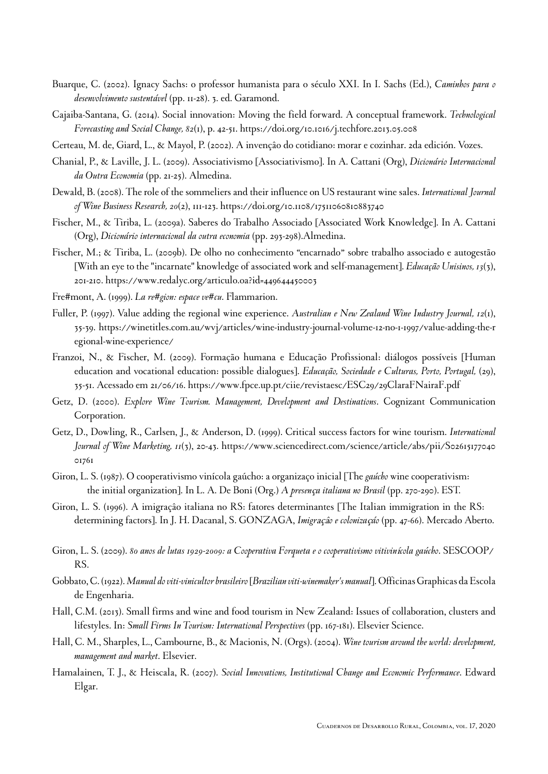- <span id="page-11-17"></span>Buarque, C. (2002). Ignacy Sachs: o professor humanista para o século XXI. In I. Sachs (Ed.), *Caminhos para o desenvolvimento sustentável* (pp. 11-28). 3. ed. Garamond.
- <span id="page-11-18"></span>Cajaiba-Santana, G. (2014). Social innovation: Moving the field forward. A conceptual framework. *Technological Forecasting and Social Change, 82*(1), p. 42-51.<https://doi.org/10.1016/j.techfore.2013.05.008>

<span id="page-11-14"></span>Certeau, M. de, Giard, L., & Mayol, P. (2002). A invençâo do cotidiano: morar e cozinhar. 2da edición. Vozes.

- <span id="page-11-3"></span>Chanial, P., & Laville, J. L. (2009). Associativismo [Associativismo]. In A. Cattani (Org), *Dicionário Internacional da Outra Economia* (pp. 21-25). Almedina.
- <span id="page-11-10"></span>Dewald, B. (2008). The role of the sommeliers and their influence on US restaurant wine sales. *International Journal of Wine Business Research, 20*(2), 111-123. <https://doi.org/10.1108/17511060810883740>
- <span id="page-11-15"></span>Fischer, M., & Tiriba, L. (2009a). Saberes do Trabalho Associado [Associated Work Knowledge]. In A. Cattani (Org), *Dicionário internacional da outra economia* (pp. 293-298).Almedina.
- <span id="page-11-4"></span>Fischer, M.; & Tiriba, L. (2009b). De olho no conhecimento "encarnado" sobre trabalho associado e autogestão [With an eye to the "incarnate" knowledge of associated work and self-management]. *Educação Unisinos, 13*(3), 201-210. <https://www.redalyc.org/articulo.oa?id=449644450003>
- <span id="page-11-13"></span>Fre#mont, A. (1999). *La re#gion: espace ve#cu*. Flammarion.
- <span id="page-11-6"></span>Fuller, P. (1997). Value adding the regional wine experience. *Australian e New Zealand Wine Industry Journal, 12*(1), 35-39. [https://winetitles.com.au/wvj/articles/wine-industry-journal-volume-12-no-1-1997/value-adding-the-r](https://winetitles.com.au/wvj/articles/wine-industry-journal-volume-12-no-1-1997/value-adding-the-regional-wine-experience) [egional-wine-experience](https://winetitles.com.au/wvj/articles/wine-industry-journal-volume-12-no-1-1997/value-adding-the-regional-wine-experience)/
- <span id="page-11-16"></span>Franzoi, N., & Fischer, M. (2009). Formação humana e Educação Profissional: diálogos possíveis [Human education and vocational education: possible dialogues]. *Educação, Sociedade e Culturas, Porto, Portugal,* (29), 35-51. Acessado em 21/06/16.<https://www.fpce.up.pt/ciie/revistaesc/ESC29/29ClaraFNairaF.pdf>
- <span id="page-11-7"></span>Getz, D. (2000). *Explore Wine Tourism. Management, Development and Destinations*. Cognizant Communication Corporation.
- <span id="page-11-8"></span>Getz, D., Dowling, R., Carlsen, J., & Anderson, D. (1999). Critical success factors for wine tourism. *International Journal of Wine Marketing, 11*(3), 20-43. [https://www.sciencedirect.com/science/article/abs/pii/S02615177040](https://www.sciencedirect.com/science/article/abs/pii/S0261517704001761) [01761](https://www.sciencedirect.com/science/article/abs/pii/S0261517704001761)
- <span id="page-11-0"></span>Giron, L. S. (1987). O cooperativismo vinícola gaúcho: a organizaço inicial [The *gaúcho* wine cooperativism: the initial organization]. In L. A. De Boni (Org.) *A presen*ç*a italiana no Brasil* (pp. 270-290). EST.
- <span id="page-11-1"></span>Giron, L. S. (1996). A imigraçâo italiana no RS: fatores determinantes [The Italian immigration in the RS: determining factors]. In J. H. Dacanal, S. GONZAGA, *Imigr*açâ*o e coloniza*ç*áo* (pp. 47-66). Mercado Aberto.
- <span id="page-11-2"></span>Giron, L. S. (2009). *80 anos de lutas 1929-2009: a Cooperativa Forqueta e o cooperativismo vitivin*í*cola gaúcho*. SESCOOP/ RS.
- <span id="page-11-11"></span>Gobbato, C. (1922). *Manual do viti-vinicultor brasileiro* [*Brazilian viti-winemaker's manual*]. Officinas Graphicas da Escola de Engenharia.
- <span id="page-11-5"></span>Hall, C.M. (2013). Small firms and wine and food tourism in New Zealand: Issues of collaboration, clusters and lifestyles. In: *Small Firms In Tourism: International Perspectives* (pp. 167-181). Elsevier Science.
- <span id="page-11-9"></span>Hall, C. M., Sharples, L., Cambourne, B., & Macionis, N. (Orgs). (2004). *Wine tourism around the world: development, management and market*. Elsevier.
- <span id="page-11-12"></span>Hamalainen, T. J., & Heiscala, R. (2007). *Social Innovations, Institutional Change and Economic Performance*. Edward Elgar.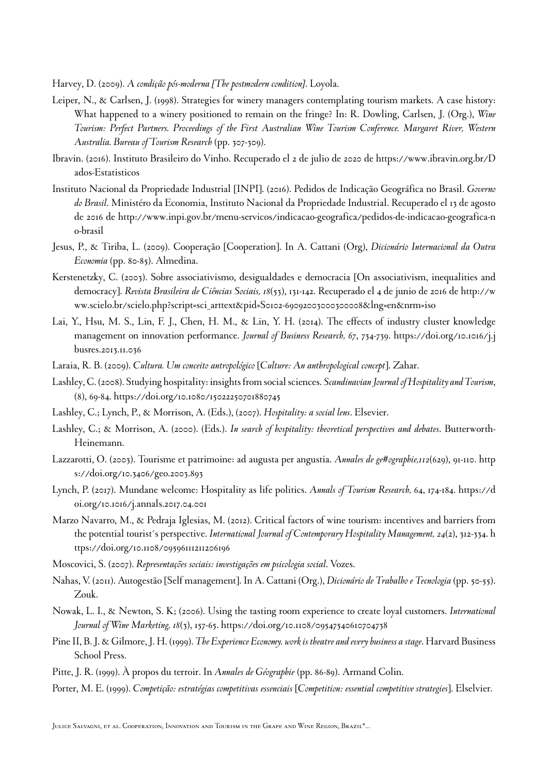<span id="page-12-14"></span>Harvey, D. (2009). *A condição pós-moderna [The postmodern condition]*. Loyola.

- <span id="page-12-4"></span>Leiper, N., & Carlsen, J. (1998). Strategies for winery managers contemplating tourism markets. A case history: What happened to a winery positioned to remain on the fringe? In: R. Dowling, Carlsen, J. (Org.), *Wine Tourism: Perfect Partners. Proceedings of the First Australian Wine Tourism Conference. Margaret River, Western Australia. Bureau of Tourism Research* (pp. 307-309).
- <span id="page-12-0"></span>Ibravin. (2016). Instituto Brasileiro do Vinho. Recuperado el 2 de julio de 2020 de [https://www.ibravin.org.br/D](https://www.ibravin.org.br/Dados-Estatisticos) [ados-Estatisticos](https://www.ibravin.org.br/Dados-Estatisticos)
- <span id="page-12-8"></span>Instituto Nacional da Propriedade Industrial [INPI]. (2016). Pedidos de Indicação Geográfica no Brasil. *Governo do Brasil*. Ministéro da Economia, Instituto Nacional da Propriedade Industrial. Recuperado el 13 de agosto de 2016 de [http://www.inpi.gov.br/menu-servicos/indicacao-geografica/pedidos-de-indicacao-geografica-n](http://www.inpi.gov.br/menu-servicos/indicacao-geografica/pedidos-de-indicacao-geografica-no-brasil) [o-brasil](http://www.inpi.gov.br/menu-servicos/indicacao-geografica/pedidos-de-indicacao-geografica-no-brasil)
- <span id="page-12-15"></span>Jesus, P., & Tiriba, L. (2009). Cooperação [Cooperation]. In A. Cattani (Org), *Dicionário Internacional da Outra Economia* (pp. 80-85). Almedina.
- <span id="page-12-12"></span>Kerstenetzky, C. (2003). Sobre associativismo, desigualdades e democracia [On associativism, inequalities and democracy]. *Revista Brasileira de Ciências Sociais, 18*(53), 131-142. Recuperado el 4 de junio de 2016 de [http://w](http://www.scielo.br/scielo.php?script=sci_arttext&pid=S0102-69092003000300008&lng=en&nrm=iso) [ww.scielo.br/scielo.php?script=sci\\_arttext&pid=S0102-69092003000300008&lng=en&nrm=iso](http://www.scielo.br/scielo.php?script=sci_arttext&pid=S0102-69092003000300008&lng=en&nrm=iso)
- <span id="page-12-17"></span>Lai, Y., Hsu, M. S., Lin, F. J., Chen, H. M., & Lin, Y. H. (2014). The effects of industry cluster knowledge management on innovation performance. *Journal of Business Research, 67*, 734-739. [https://doi.org/10.1016/j.j](https://doi.org/10.1016/j.jbusres.2013.11.036) [busres.2013.11.036](https://doi.org/10.1016/j.jbusres.2013.11.036)
- <span id="page-12-18"></span>Laraia, R. B. (2009). *Cultura. Um conceito antropológico* [*Culture: An anthropological concept*]. Zahar.
- <span id="page-12-3"></span>Lashley, C. (2008). Studying hospitality: insights from social sciences. *Scandinavian Journal of Hospitality and Tourism*, (8), 69-84. <https://doi.org/10.1080/15022250701880745>
- <span id="page-12-2"></span>Lashley, C.; Lynch, P., & Morrison, A. (Eds.), (2007). *Hospitality: a social lens*. Elsevier.
- <span id="page-12-1"></span>Lashley, C.; & Morrison, A. (2000). (Eds.). *In search of hospitality: theoretical perspectives and debates*. Butterworth-Heinemann.
- <span id="page-12-9"></span>Lazzarotti, O. (2003). Tourisme et patrimoine: ad augusta per angustia. *Annales de ge#ographie,112*(629), 91-110. [http](https://doi.org/10.3406/geo.2003.893) [s://doi.org/10.3406/geo.2003.893](https://doi.org/10.3406/geo.2003.893)
- <span id="page-12-19"></span>Lynch, P. (2017). Mundane welcome: Hospitality as life politics. *Annals of Tourism Research,* 64, 174-184. [https://d](https://doi.org/10.1016/j.annals.2017.04.001) [oi.org/10.1016/j.annals.2017.04.001](https://doi.org/10.1016/j.annals.2017.04.001)
- <span id="page-12-5"></span>Marzo Navarro, M., & Pedraja Iglesias, M. (2012). Critical factors of wine tourism: incentives and barriers from the potential tourist´s perspective. *International Journal of Contemporary Hospitality Management, 24*(2), 312-334. [h](https://doi.org/10.1108/09596111211206196) [ttps://doi.org/10.1108/09596111211206196](https://doi.org/10.1108/09596111211206196)
- <span id="page-12-13"></span>Moscovici, S. (2007). *Representações sociais: investigações em psicologia social*. Vozes.
- <span id="page-12-11"></span>Nahas, V. (2011). Autogestão [Self management]. In A. Cattani (Org.), *Dicionário de Trabalho e Tecnologia* (pp. 50-55). Zouk.
- <span id="page-12-7"></span>Nowak, L. I., & Newton, S. K; (2006). Using the tasting room experience to create loyal customers. *International Journal of Wine Marketing, 18*(3), 157-65.<https://doi.org/10.1108/09547540610704738>
- <span id="page-12-6"></span>Pine II, B. J. & Gilmore, J. H. (1999). *The Experience Economy. work is theatre and every business a stage*. Harvard Business School Press.
- <span id="page-12-10"></span>Pitte, J. R. (1999). À propos du terroir. In *Annales de Géographie* (pp. 86-89). Armand Colin.
- <span id="page-12-16"></span>Porter, M. E. (1999). *Competição: estratégias competitivas essenciais* [*Competition: essential competitive strategies*]. Elselvier.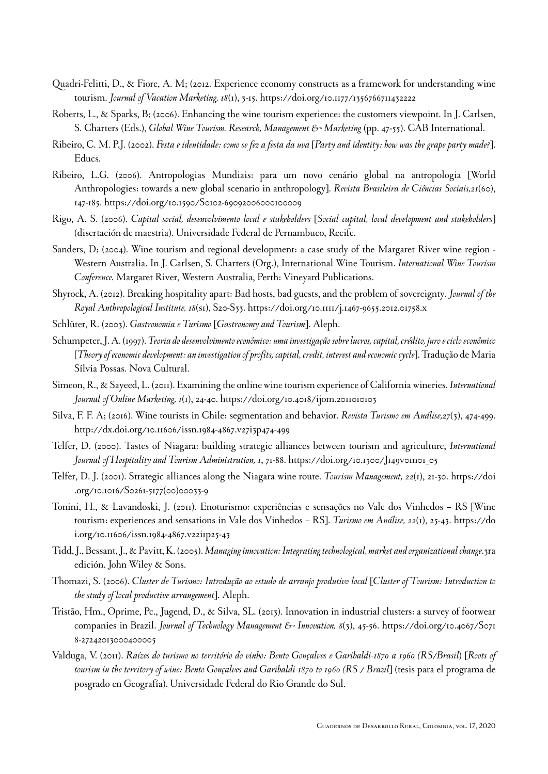- <span id="page-13-8"></span>Quadri-Felitti, D., & Fiore, A. M; (2012. Experience economy constructs as a framework for understanding wine tourism. *Journal of Vacation Marketing, 18*(1), 3-15. <https://doi.org/10.1177/1356766711432222>
- <span id="page-13-10"></span>Roberts, L., & Sparks, B; (2006). Enhancing the wine tourism experience: the customers viewpoint. In J. Carlsen, S. Charters (Eds.), *Global Wine Tourism. Research, Management & Marketing* (pp. 47-55). CAB International.
- <span id="page-13-0"></span>Ribeiro, C. M. P.J. (2002). *Festa e identidade: como se fez a festa da uva* [*Party and identity: how was the grape party made?*]. Educs.
- <span id="page-13-16"></span>Ribeiro, L.G. (2006). Antropologias Mundiais: para um novo cenário global na antropologia [World Anthropologies: towards a new global scenario in anthropology]. *Revista Brasileira de Ciências Sociais,21*(60), 147-185.<https://doi.org/10.1590/S0102-69092006000100009>
- <span id="page-13-2"></span>Rigo, A. S. (2006). *Capital social, desenvolvimento local e stakeholders* [*Social capital, local development and stakeholders*] (disertación de maestria). Universidade Federal de Pernambuco, Recife.
- <span id="page-13-6"></span>Sanders, D; (2004). Wine tourism and regional development: a case study of the Margaret River wine region - Western Australia. In J. Carlsen, S. Charters (Org.), International Wine Tourism. *International Wine Tourism Conference.* Margaret River, Western Australia, Perth: Vineyard Publications.
- <span id="page-13-5"></span>Shyrock, A. (2012). Breaking hospitality apart: Bad hosts, bad guests, and the problem of sovereignty. *Journal of the Royal Anthropological Institute, 18*(s1), S20-S33.<https://doi.org/10.1111/j.1467-9655.2012.01758.x>
- <span id="page-13-17"></span>Schlüter, R. (2003). *Gastronomia e Turismo* [*Gastronomy and Tourism*]. Aleph.
- <span id="page-13-13"></span>Schumpeter, J. A. (1997). *Teoria do desenvolvimento econômico: uma investigação sobre lucros, capital, crédito, juro e ciclo econômico* [*Theory of economic development: an investigation of profits, capital, credit, interest and economic cycle*]. Tradução de Maria Sílvia Possas. Nova Cultural.
- <span id="page-13-7"></span>Simeon, R., & Sayeed, L. (2011). Examining the online wine tourism experience of California wineries. *International Journal of Online Marketing, 1*(1), 24-40.<https://doi.org/10.4018/ijom.2011010103>
- <span id="page-13-9"></span>Silva, F. F. A; (2016). Wine tourists in Chile: segmentation and behavior. *Revista Turismo em Análise,27*(3), 474-499. <http://dx.doi.org/10.11606/issn.1984-4867.v27i3p474-499>
- <span id="page-13-12"></span>Telfer, D. (2000). Tastes of Niagara: building strategic alliances between tourism and agriculture, *International Journal of Hospitality and Tourism Administration, 1*, 71-88. [https://doi.org/10.1300/J149v01n01\\_05](https://doi.org/10.1300/J149v01n01_05)
- <span id="page-13-11"></span>Telfer, D. J. (2001). Strategic alliances along the Niagara wine route. *Tourism Management, 22*(1), 21-30. [https://doi](https://doi.org/10.1016/S0261-5177(00)00033-9) [.org/10.1016/S0261-5177\(00\)00033-9](https://doi.org/10.1016/S0261-5177(00)00033-9)
- <span id="page-13-4"></span>Tonini, H., & Lavandoski, J. (2011). Enoturismo: experiências e sensações no Vale dos Vinhedos – RS [Wine tourism: experiences and sensations in Vale dos Vinhedos – RS]. *Turismo em Análise, 22*(1), 25-43. [https://do](https://doi.org/10.11606/issn.1984-4867.v22i1p25-43) [i.org/10.11606/issn.1984-4867.v22i1p25-43](https://doi.org/10.11606/issn.1984-4867.v22i1p25-43)
- <span id="page-13-14"></span>Tidd, J., Bessant, J., & Pavitt, K. (2005). *Managing innovation: Integrating technological, market and organizational change*.3ra edición. John Wiley & Sons.
- <span id="page-13-3"></span>Thomazi, S. (2006). *Cluster de Turismo: Introdução ao estudo de arranjo produtivo local* [*Cluster of Tourism: Introduction to the study of local productive arrangement*]. Aleph.
- <span id="page-13-15"></span>Tristão, Hm., Oprime, Pc., Jugend, D., & Silva, SL. (2013). Innovation in industrial clusters: a survey of footwear companies in Brazil. *Journal of Technology Management & Innovation, 8*(3), 45-56. [https://doi.org/10.4067/S071](https://doi.org/10.4067/S0718-27242013000400005) [8-27242013000400005](https://doi.org/10.4067/S0718-27242013000400005)
- <span id="page-13-1"></span>Valduga, V. (2011). *Raízes do turismo no território do vinho: Bento Gonçalves e Garibaldi-1870 a 1960 (RS/Brasil*) [*Roots of tourism in the territory of wine: Bento Gonçalves and Garibaldi-1870 to 1960 (RS / Brazil*] (tesis para el programa de posgrado en Geografía). Universidade Federal do Rio Grande do Sul.